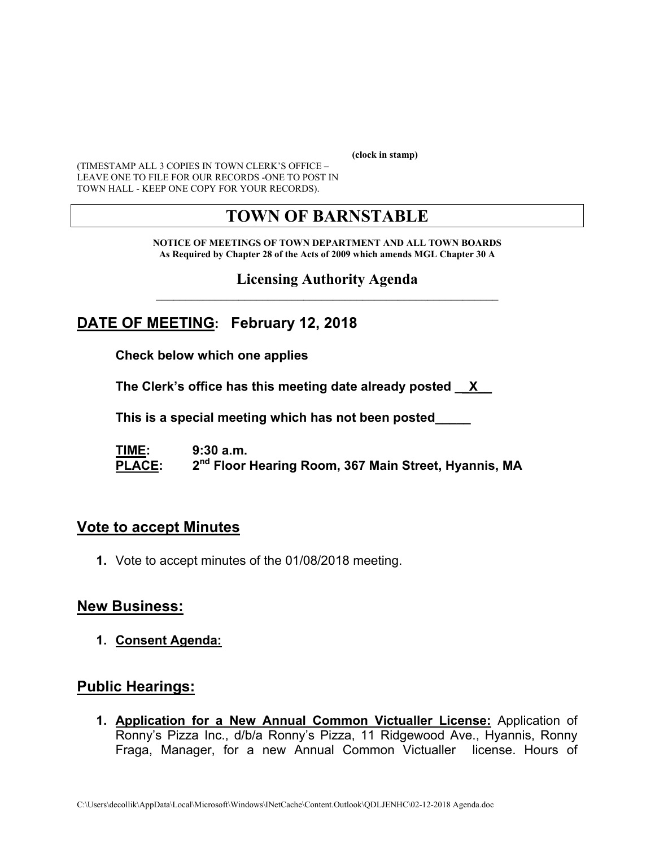**(clock in stamp)** 

(TIMESTAMP ALL 3 COPIES IN TOWN CLERK'S OFFICE – LEAVE ONE TO FILE FOR OUR RECORDS -ONE TO POST IN TOWN HALL - KEEP ONE COPY FOR YOUR RECORDS).

# **TOWN OF BARNSTABLE**

**NOTICE OF MEETINGS OF TOWN DEPARTMENT AND ALL TOWN BOARDS As Required by Chapter 28 of the Acts of 2009 which amends MGL Chapter 30 A** 

**Licensing Authority Agenda**  $\mathcal{L}_\text{max}$  and the contract of the contract of the contract of the contract of the contract of the contract of the contract of the contract of the contract of the contract of the contract of the contract of the contrac

## **DATE OF MEETING: February 12, 2018**

**Check below which one applies** 

**The Clerk's office has this meeting date already posted \_\_X\_\_** 

 **This is a special meeting which has not been posted\_\_\_\_\_** 

**TIME: 9:30 a.m.**  PLACE: 2<sup>nd</sup> Floor Hearing Room, 367 Main Street, Hyannis, MA

### **Vote to accept Minutes**

**1.** Vote to accept minutes of the 01/08/2018 meeting.

### **New Business:**

**1. Consent Agenda:** 

### **Public Hearings:**

**1. Application for a New Annual Common Victualler License:** Application of Ronny's Pizza Inc., d/b/a Ronny's Pizza, 11 Ridgewood Ave., Hyannis, Ronny Fraga, Manager, for a new Annual Common Victualler license. Hours of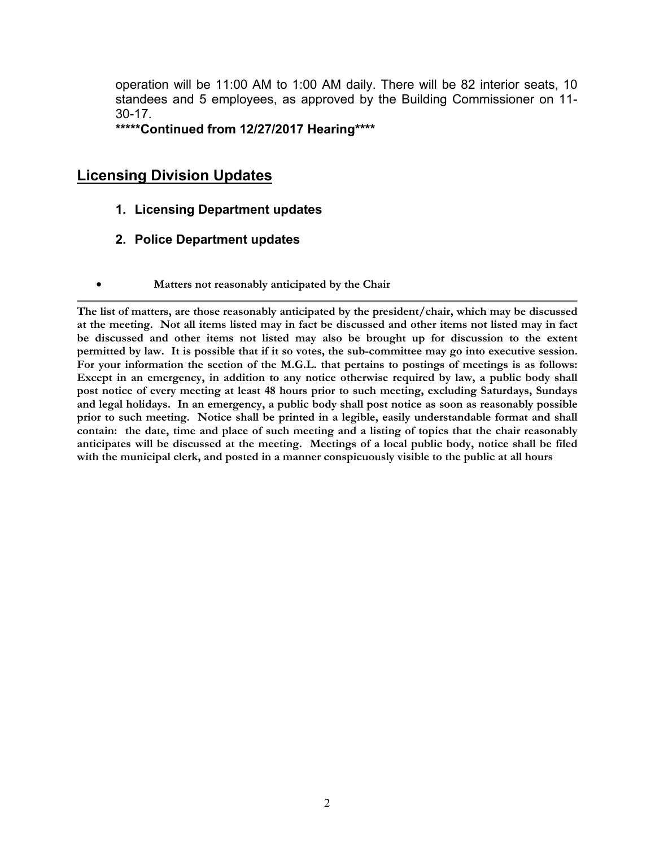operation will be 11:00 AM to 1:00 AM daily. There will be 82 interior seats, 10 standees and 5 employees, as approved by the Building Commissioner on 11- 30-17.

**\*\*\*\*\*Continued from 12/27/2017 Hearing\*\*\*\*** 

### **Licensing Division Updates**

- **1. Licensing Department updates**
- **2. Police Department updates**
- **Matters not reasonably anticipated by the Chair**

**The list of matters, are those reasonably anticipated by the president/chair, which may be discussed at the meeting. Not all items listed may in fact be discussed and other items not listed may in fact be discussed and other items not listed may also be brought up for discussion to the extent permitted by law. It is possible that if it so votes, the sub-committee may go into executive session. For your information the section of the M.G.L. that pertains to postings of meetings is as follows: Except in an emergency, in addition to any notice otherwise required by law, a public body shall post notice of every meeting at least 48 hours prior to such meeting, excluding Saturdays, Sundays and legal holidays. In an emergency, a public body shall post notice as soon as reasonably possible prior to such meeting. Notice shall be printed in a legible, easily understandable format and shall contain: the date, time and place of such meeting and a listing of topics that the chair reasonably anticipates will be discussed at the meeting. Meetings of a local public body, notice shall be filed with the municipal clerk, and posted in a manner conspicuously visible to the public at all hours**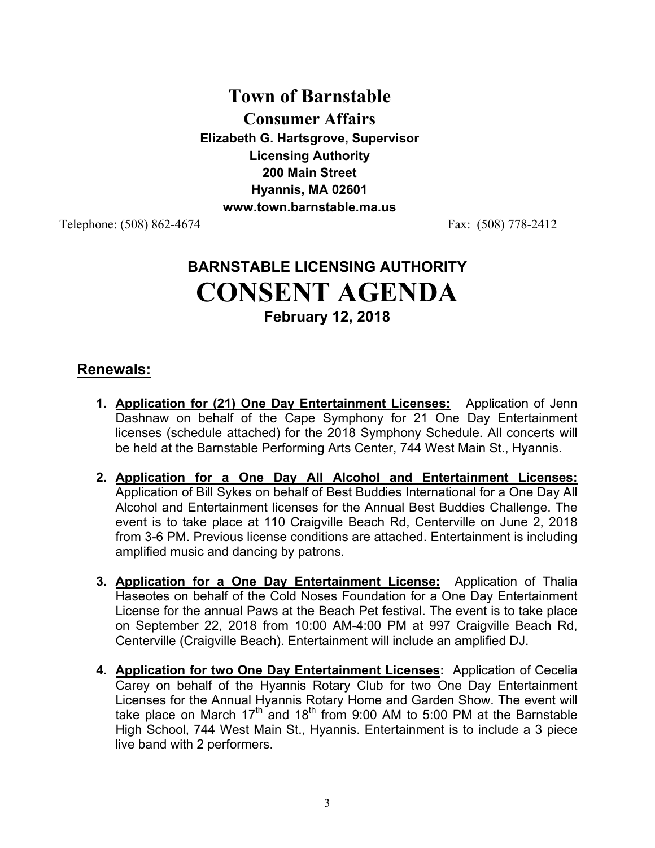# **Town of Barnstable Consumer Affairs Elizabeth G. Hartsgrove, Supervisor Licensing Authority 200 Main Street Hyannis, MA 02601 www.town.barnstable.ma.us**

Telephone: (508) 862-4674 Fax: (508) 778-2412

# **BARNSTABLE LICENSING AUTHORITY CONSENT AGENDA February 12, 2018**

### **Renewals:**

- **1. Application for (21) One Day Entertainment Licenses:** Application of Jenn Dashnaw on behalf of the Cape Symphony for 21 One Day Entertainment licenses (schedule attached) for the 2018 Symphony Schedule. All concerts will be held at the Barnstable Performing Arts Center, 744 West Main St., Hyannis.
- **2. Application for a One Day All Alcohol and Entertainment Licenses:** Application of Bill Sykes on behalf of Best Buddies International for a One Day All Alcohol and Entertainment licenses for the Annual Best Buddies Challenge. The event is to take place at 110 Craigville Beach Rd, Centerville on June 2, 2018 from 3-6 PM. Previous license conditions are attached. Entertainment is including amplified music and dancing by patrons.
- **3. Application for a One Day Entertainment License:** Application of Thalia Haseotes on behalf of the Cold Noses Foundation for a One Day Entertainment License for the annual Paws at the Beach Pet festival. The event is to take place on September 22, 2018 from 10:00 AM-4:00 PM at 997 Craigville Beach Rd, Centerville (Craigville Beach). Entertainment will include an amplified DJ.
- **4. Application for two One Day Entertainment Licenses:** Application of Cecelia Carey on behalf of the Hyannis Rotary Club for two One Day Entertainment Licenses for the Annual Hyannis Rotary Home and Garden Show. The event will take place on March  $17<sup>th</sup>$  and  $18<sup>th</sup>$  from 9:00 AM to 5:00 PM at the Barnstable High School, 744 West Main St., Hyannis. Entertainment is to include a 3 piece live band with 2 performers.